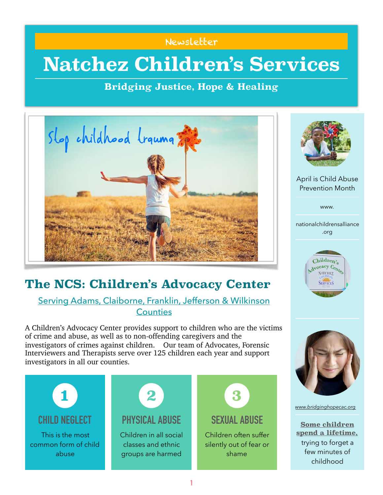#### Newsletter

## **Natchez Children's Services**

## **Bridging Justice, Hope & Healing**



## **The NCS: Children's Advocacy Center**

### Serving Adams, Claiborne, Franklin, Jefferson & Wilkinson **Counties**

A Children's Advocacy Center provides support to children who are the victims of crime and abuse, as well as to non-offending caregivers and the investigators of crimes against children. Our team of Advocates, Forensic Interviewers and Therapists serve over 125 children each year and support investigators in all our counties.





April is Child Abuse Prevention Month

www.

nationalchildrensalliance .org





*[www.bridginghopecac.org](http://bridginghopecac.org)*

**Some children spend a lifetime,**  trying to forget a few minutes of childhood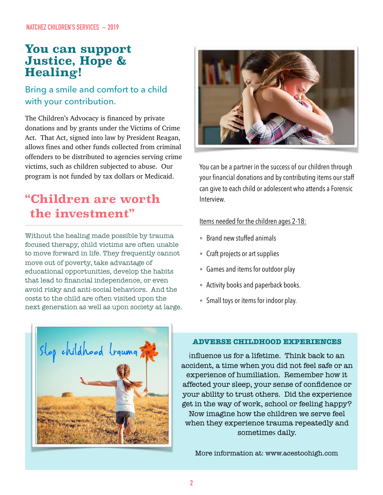## **You can support Justice, Hope & Healing!**

## Bring a smile and comfort to a child with your contribution.

The Children's Advocacy is financed by private donations and by grants under the Victims of Crime Act. That Act, signed into law by President Reagan, allows fines and other funds collected from criminal offenders to be distributed to agencies serving crime victims, such as children subjected to abuse. Our program is not funded by tax dollars or Medicaid.

## **"Children are worth the investment"**

Without the healing made possible by trauma focused therapy, child victims are often unable to move forward in life. They frequently cannot move out of poverty, take advantage of educational opportunities, develop the habits that lead to financial independence, or even avoid risky and anti-social behaviors. And the costs to the child are often visited upon the next generation as well as upon society at large.



You can be a partner in the success of our children through your financial donations and by contributing items our staff can give to each child or adolescent who attends a Forensic Interview.

#### Items needed for the children ages 2-18:

- Brand new stuffed animals
- Craft projects or art supplies
- Games and items for outdoor play
- Activity books and paperback books.
- Small toys or items for indoor play.



#### **ADVERSE CHILDHOOD EXPERIENCES**

influence us for a lifetime. Think back to an accident, a time when you did not feel safe or an experience of humiliation. Remember how it affected your sleep, your sense of confidence or your ability to trust others. Did the experience get in the way of work, school or feeling happy? Now imagine how the children we serve feel when they experience trauma repeatedly and sometimes daily.

More information at: www.acestoohigh.com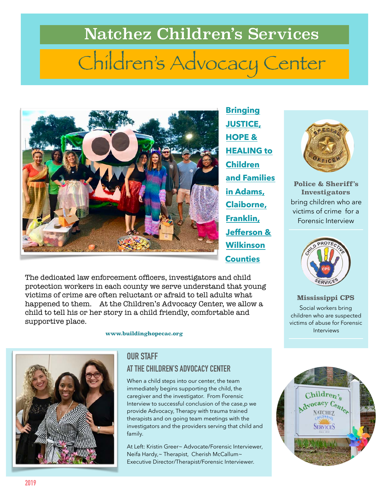# Natchez Children's Services Children's Advocacy Center



The dedicated law enforcement officers, investigators and child protection workers in each county we serve understand that young victims of crime are often reluctant or afraid to tell adults what happened to them. At the Children's Advocacy Center, we allow a child to tell his or her story in a child friendly, comfortable and supportive place.

 **www.buildinghopecac.org** 



#### **OUR STAFF**

## **AT THE CHILDREN'S ADVOCACY CENTER**

When a child steps into our center, the team immediately begins supporting the child, the caregiver and the investigator. From Forensic Interview to successful conclusion of the case,p we provide Advocacy, Therapy with trauma trained therapists and on going team meetings with the investigators and the providers serving that child and family.

At Left: Kristin Greer~ Advocate/Forensic Interviewer, Neifa Hardy,~ Therapist, Cherish McCallum~ Executive Director/Therapist/Forensic Interviewer.



**Police & Sheriff's Investigators**  bring children who are victims of crime for a Forensic Interview



**Mississippi CPS**  Social workers bring children who are suspected victims of abuse for Forensic Interviews